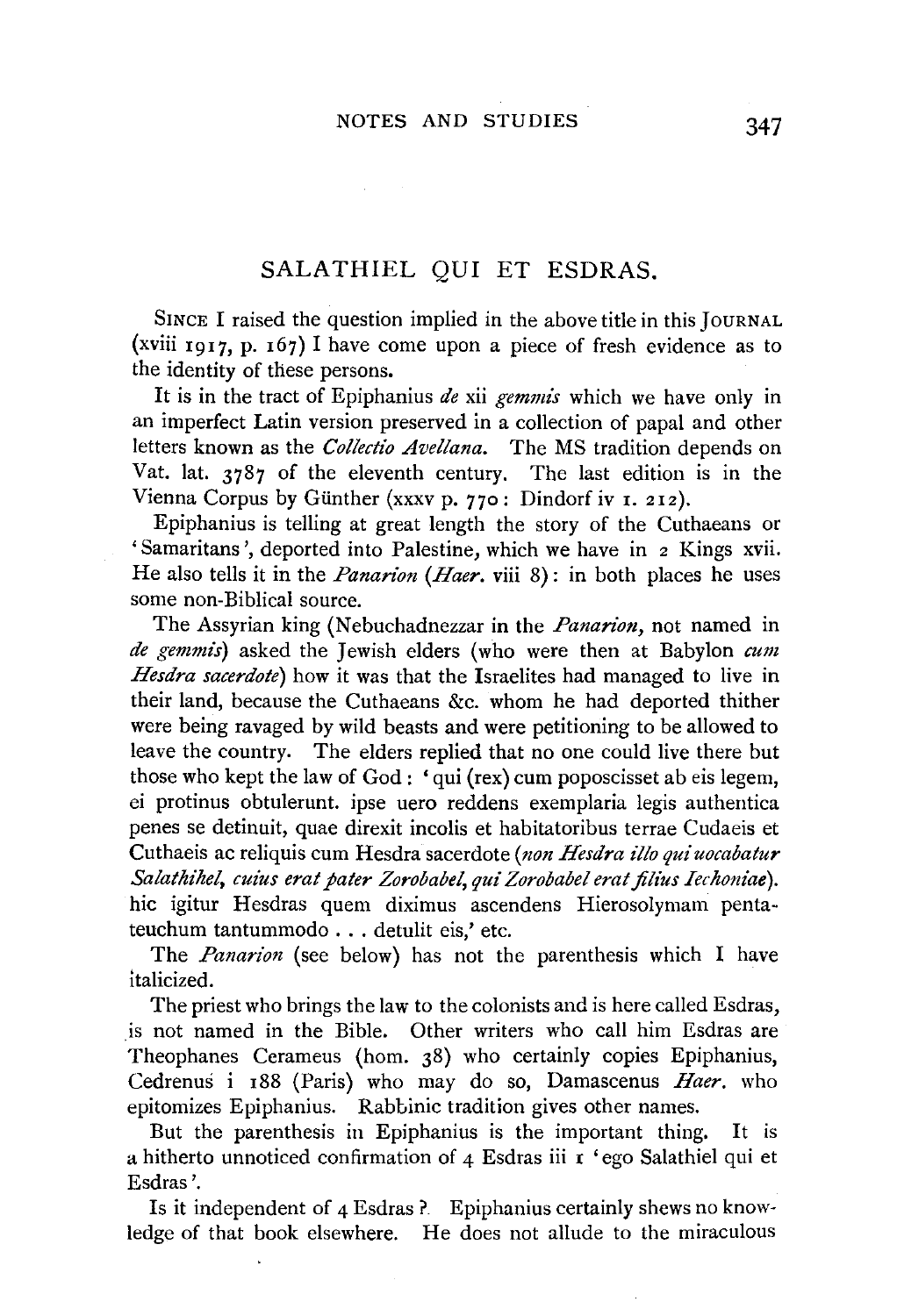## SALATHIEL QUI ET ESDRAS.

SINCE I raised the question implied in the above title in this JouRNAL (xviii 1917, p. 167) I have come upon a piece of fresh evidence as to the identity of these persons.

It is in the tract of Epiphanius *de* xii *gemmis* which we have only in an imperfect Latin version preserved in a collection of papal and other letters known as the *Collectio Avellana.* The MS tradition depends on Vat. lat. 3787 of the eleventh century. The last edition is in the Vienna Corpus by Günther (xxxv p. 770 : Dindorf iv 1. 212).

Epiphanius is telling at great length the story of the Cuthaeans or 'Samaritans', deported into Palestine, which we have in 2 Kings xvii. He also tells it in the *Panarion (Haer.* viii 8): in both places he uses some non-Biblical source.

The Assyrian king (Nebuchadnezzar in the *Panan'on,* not named in *de gemmi's)* asked the Jewish elders (who were then at Babylon *cum Hesdra sacerdote)* how it was that the Israelites had managed to live in their land, because the Cuthaeans &c. whom he had deported thither were being ravaged by wild beasts and were petitioning to be allowed to leave the country. The elders replied that no one could live there but those who kept the law of God: 'qui (rex) cum poposcisset ab eis legem, ei protinus obtulerunt. ipse uero reddens exemplaria legis authentica penes se detinuit, quae direxit incolis et habitatoribus terrae Cudaeis et Cuthaeis ac reliquis cum Hesdra sacerdote *(non Hesdra illo qui uocabatur Salathihel, cuius erat pater Zorobabel, qui Zorobabel erat filius Iechoniae).*  hie igitur Hesdras quem diximus ascendens Hierosolymam pentateuchum tantummodo ... detulit eis,' etc.

The *Panarion* (see below) has not the parenthesis which I have italicized.

The priest who brings the law to the colonists and is here called Esdras, is not named in the Bible. Other writers who call him Esdras are Theophanes Cerameus (hom. 38) who certainly copies Epiphanius, Cedrenus i r88 (Paris) who may do so, Damascenus *Haer.* who epitomizes Epiphanius. Rabbinic tradition gives other names.

But the parenthesis in Epiphanius is the important thing. It is a hitherto unnoticed confirmation of 4 Esdras iii r 'ego Salathiel qui et Esdras '.

Is it independent of 4 Esdras ?. Epiphanius certainly shews no knowledge of that book elsewhere. He does not allude to the miraculous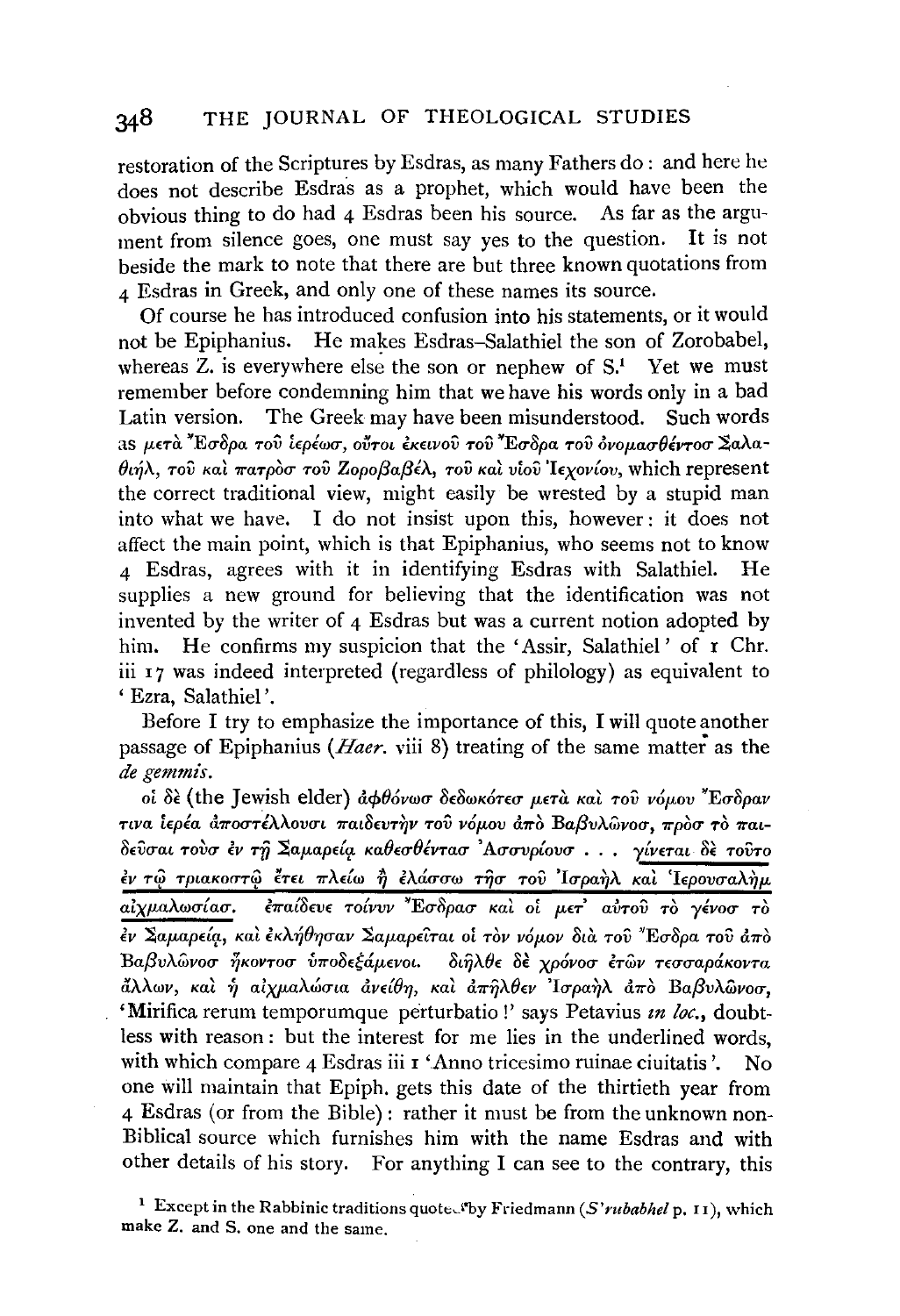## $348$ THE JOURNAL OF THEOLOGICAL STUDIES

restoration of the Scriptures by Esdras, as many Fathers do: and here he does not describe Esdras as a prophet, which would have been the obvious thing to do had 4 Esdras been his source. As far as the argument from silence goes, one must say ves to the question. It is not beside the mark to note that there are but three known quotations from  $\Lambda$  Esdras in Greek, and only one of these names its source.

Of course he has introduced confusion into his statements, or it would not be Epiphanius. He makes Esdras-Salathiel the son of Zorobabel, whereas  $Z$ , is everywhere else the son or nephew of  $S<sup>1</sup>$ . Yet we must remember before condemning him that we have his words only in a bad Latin version. The Greek may have been misunderstood. Such words as μετά "Εσδρα του ίερέωσ, ούτοι έκεινου του "Εσδρα του όνομασθέντοσ Σαλα- $\theta$ ιήλ, του και πατρόσ του Ζοροβαβέλ, του και νίου Ιεχονίου, which represent the correct traditional view, might easily be wrested by a stupid man into what we have. I do not insist upon this, however: it does not affect the main point, which is that Epiphanius, who seems not to know 4 Esdras, agrees with it in identifying Esdras with Salathiel. He supplies a new ground for believing that the identification was not invented by the writer of 4 Esdras but was a current notion adopted by him. He confirms my suspicion that the 'Assir, Salathiel' of r Chr. iii 17 was indeed interpreted (regardless of philology) as equivalent to ' Ezra. Salathiel'.

Before I try to emphasize the importance of this, I will quote another passage of Epiphanius (*Haer*, viii 8) treating of the same matter as the de gemmis.

οί δε (the Jewish elder) άφθόνωσ δεδωκότεσ μετά και του νόμου "Εσδραν τινα ιερέα αποστέλλουσι παιδευτήν του νόμου από Βαβυλώνοσ, προσ το παιδεύσαι τουσ έν τη Σαμαρεία καθεσθέντασ Ασσυρίουσ... γίνεται δε τούτο έν τω τριακοστώ έτει πλείω ή ελάσσω τησ του Ισραήλ και Ιερουσαλήμ έπαίδευε τοίνυν "Εσδρασ και οι μετ' αύτου το γένοσ το αίγμαλωσίασ. έν Σαμαρεία, και έκλήθησαν Σαμαρείται οι τον νόμον δια του "Εσδρα του άπο Βαβυλώνοσ ήκοντοσ υποδεξάμενοι. διήλθε δε χρόνοσ ετών τεσσαράκοντα άλλων, και ή αίχμαλώσια ανείθη, και απήλθεν Ίσραηλ από Βαβυλώνοσ, 'Mirifica rerum temporumque perturbatio!' says Petavius in loc., doubtless with reason: but the interest for me lies in the underlined words. with which compare 4 Esdras iii r 'Anno tricesimo ruinae ciuitatis'.  $No$ one will maintain that Epiph. gets this date of the thirtieth year from 4 Esdras (or from the Bible): rather it must be from the unknown non-Biblical source which furnishes him with the name Esdras and with other details of his story. For anything I can see to the contrary, this

<sup>&</sup>lt;sup>1</sup> Except in the Rabbinic traditions quoted by Friedmann (S'rubabhel p. 11), which make Z. and S. one and the same.